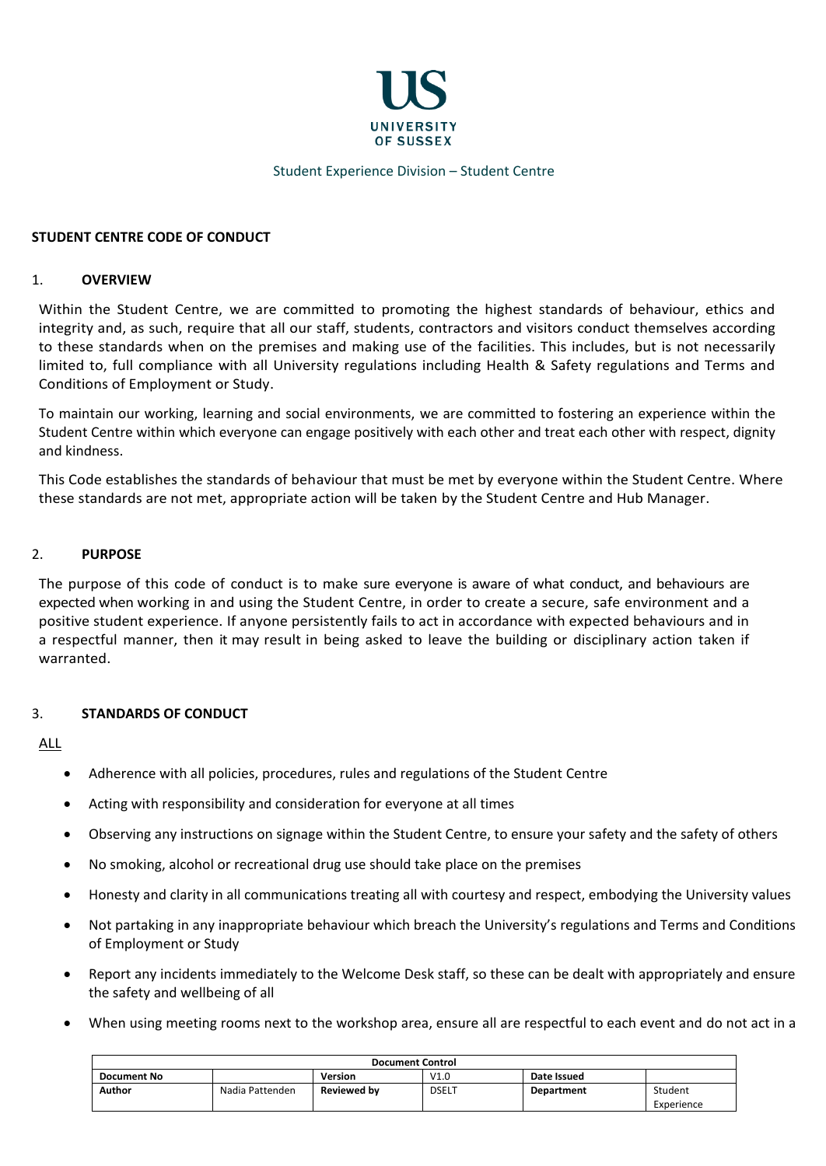

## Student Experience Division – Student Centre

## **STUDENT CENTRE CODE OF CONDUCT**

#### 1. **OVERVIEW**

Within the Student Centre, we are committed to promoting the highest standards of behaviour, ethics and integrity and, as such, require that all our staff, students, contractors and visitors conduct themselves according to these standards when on the premises and making use of the facilities. This includes, but is not necessarily limited to, full compliance with all University regulations including Health & Safety regulations and Terms and Conditions of Employment or Study.

To maintain our working, learning and social environments, we are committed to fostering an experience within the Student Centre within which everyone can engage positively with each other and treat each other with respect, dignity and kindness.

This Code establishes the standards of behaviour that must be met by everyone within the Student Centre. Where these standards are not met, appropriate action will be taken by the Student Centre and Hub Manager.

### 2. **PURPOSE**

The purpose of this code of conduct is to make sure everyone is aware of what conduct, and behaviours are expected when working in and using the Student Centre, in order to create a secure, safe environment and a positive student experience. If anyone persistently fails to act in accordance with expected behaviours and in a respectful manner, then it may result in being asked to leave the building or disciplinary action taken if warranted.

#### 3. **STANDARDS OF CONDUCT**

## ALL

- Adherence with all policies, procedures, rules and regulations of the Student Centre
- Acting with responsibility and consideration for everyone at all times
- Observing any instructions on signage within the Student Centre, to ensure your safety and the safety of others
- No smoking, alcohol or recreational drug use should take place on the premises
- Honesty and clarity in all communications treating all with courtesy and respect, embodying the University values
- Not partaking in any inappropriate behaviour which breach the University's regulations and Terms and Conditions of Employment or Study
- Report any incidents immediately to the Welcome Desk staff, so these can be dealt with appropriately and ensure the safety and wellbeing of all
- When using meeting rooms next to the workshop area, ensure all are respectful to each event and do not act in a

| <b>Document Control</b> |                 |                    |              |             |            |  |
|-------------------------|-----------------|--------------------|--------------|-------------|------------|--|
| <b>Document No</b>      |                 | Version            | V1.0         | Date Issued |            |  |
| Author                  | Nadia Pattenden | <b>Reviewed by</b> | <b>DSELT</b> | Department  | Student    |  |
|                         |                 |                    |              |             | Experience |  |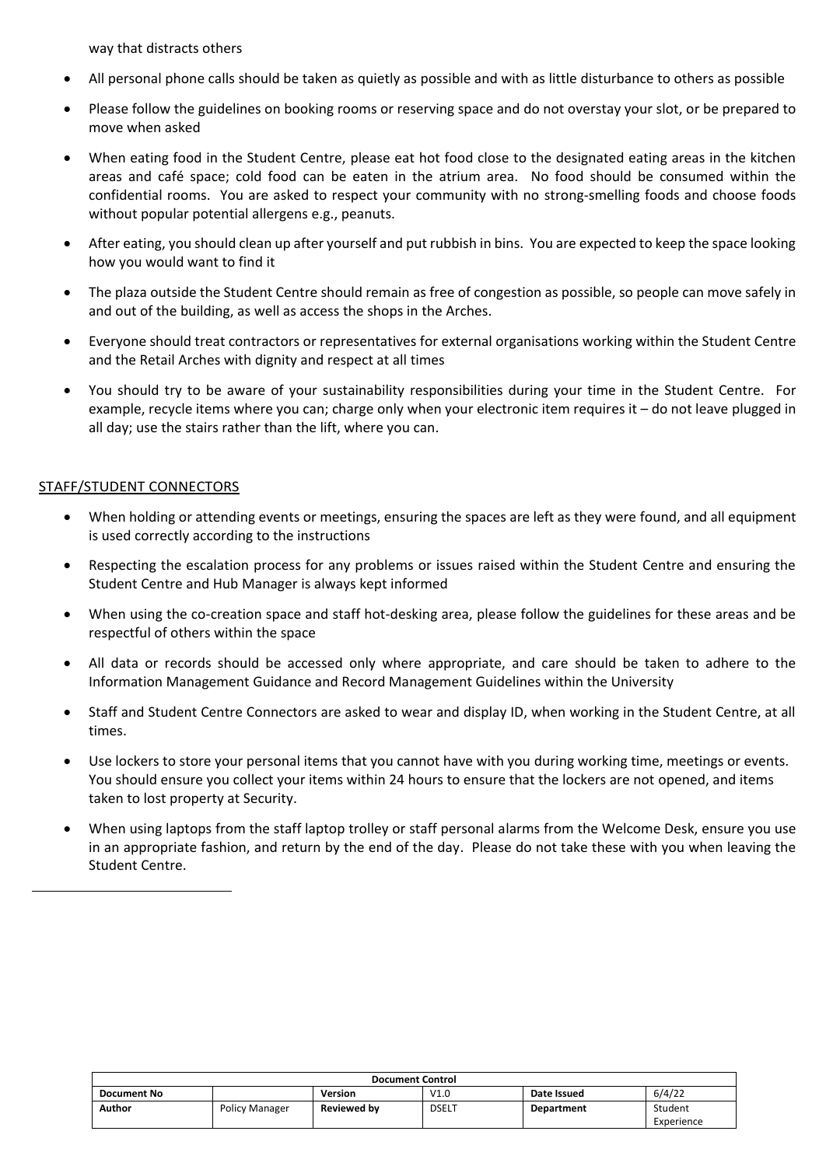way that distracts others

- All personal phone calls should be taken as quietly as possible and with as little disturbance to others as possible
- Please follow the guidelines on booking rooms or reserving space and do not overstay your slot, or be prepared to move when asked
- When eating food in the Student Centre, please eat hot food close to the designated eating areas in the kitchen areas and café space; cold food can be eaten in the atrium area. No food should be consumed within the confidential rooms. You are asked to respect your community with no strong-smelling foods and choose foods without popular potential allergens e.g., peanuts.
- After eating, you should clean up after yourself and put rubbish in bins. You are expected to keep the space looking how you would want to find it
- The plaza outside the Student Centre should remain as free of congestion as possible, so people can move safely in and out of the building, as well as access the shops in the Arches.
- Everyone should treat contractors or representatives for external organisations working within the Student Centre and the Retail Arches with dignity and respect at all times
- You should try to be aware of your sustainability responsibilities during your time in the Student Centre. For example, recycle items where you can; charge only when your electronic item requires it – do not leave plugged in all day; use the stairs rather than the lift, where you can.

# STAFF/STUDENT CONNECTORS

- When holding or attending events or meetings, ensuring the spaces are left as they were found, and all equipment is used correctly according to the instructions
- Respecting the escalation process for any problems or issues raised within the Student Centre and ensuring the Student Centre and Hub Manager is always kept informed
- When using the co-creation space and staff hot-desking area, please follow the guidelines for these areas and be respectful of others within the space
- All data or records should be accessed only where appropriate, and care should be taken to adhere to the Information Management Guidance and Record Management Guidelines within the University
- Staff and Student Centre Connectors are asked to wear and display ID, when working in the Student Centre, at all times.
- Use lockers to store your personal items that you cannot have with you during working time, meetings or events. You should ensure you collect your items within 24 hours to ensure that the lockers are not opened, and items taken to lost property at Security.
- When using laptops from the staff laptop trolley or staff personal alarms from the Welcome Desk, ensure you use in an appropriate fashion, and return by the end of the day. Please do not take these with you when leaving the Student Centre.

| <b>Document Control</b> |                       |                    |             |                   |            |  |
|-------------------------|-----------------------|--------------------|-------------|-------------------|------------|--|
| <b>Document No</b>      |                       | Version            | V1.0        | Date Issued       | 6/4/22     |  |
| Author                  | <b>Policy Manager</b> | <b>Reviewed by</b> | <b>DSEL</b> | <b>Department</b> | Student    |  |
|                         |                       |                    |             |                   | Experience |  |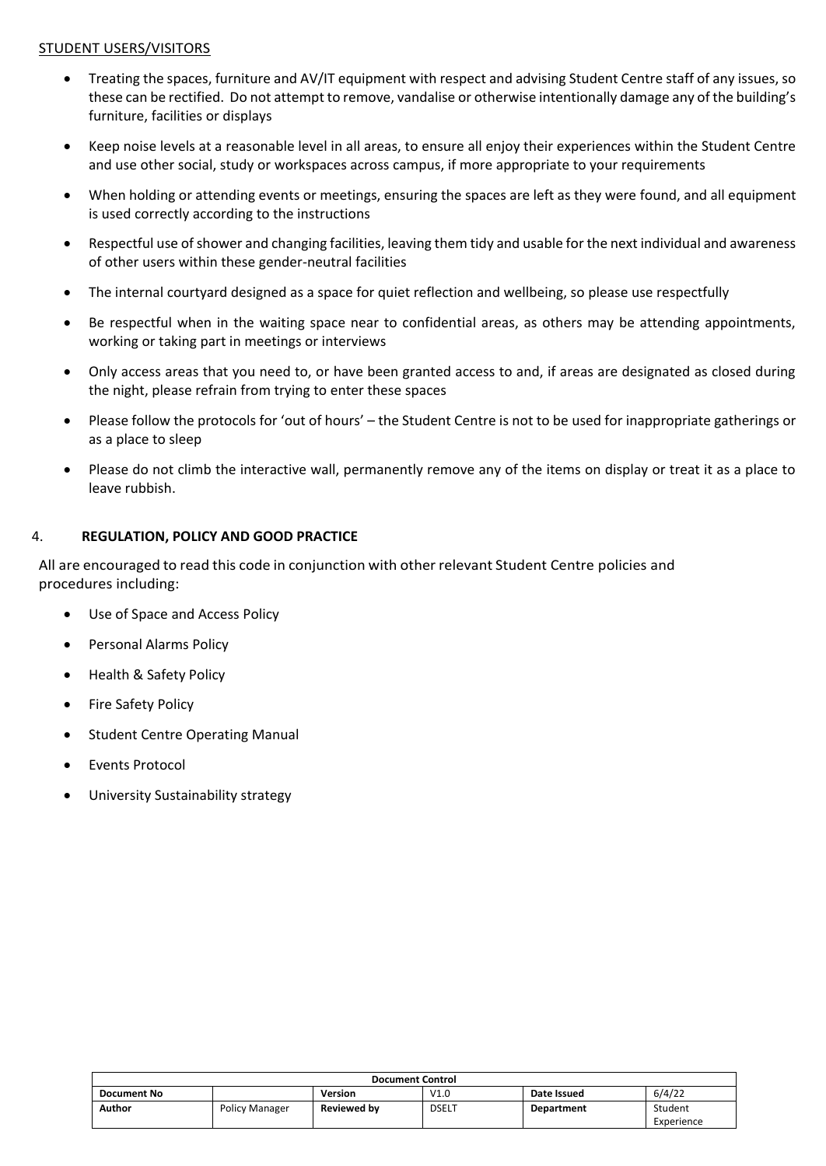## STUDENT USERS/VISITORS

- Treating the spaces, furniture and AV/IT equipment with respect and advising Student Centre staff of any issues, so these can be rectified. Do not attempt to remove, vandalise or otherwise intentionally damage any of the building's furniture, facilities or displays
- Keep noise levels at a reasonable level in all areas, to ensure all enjoy their experiences within the Student Centre and use other social, study or workspaces across campus, if more appropriate to your requirements
- When holding or attending events or meetings, ensuring the spaces are left as they were found, and all equipment is used correctly according to the instructions
- Respectful use of shower and changing facilities, leaving them tidy and usable for the next individual and awareness of other users within these gender-neutral facilities
- The internal courtyard designed as a space for quiet reflection and wellbeing, so please use respectfully
- Be respectful when in the waiting space near to confidential areas, as others may be attending appointments, working or taking part in meetings or interviews
- Only access areas that you need to, or have been granted access to and, if areas are designated as closed during the night, please refrain from trying to enter these spaces
- Please follow the protocols for 'out of hours' the Student Centre is not to be used for inappropriate gatherings or as a place to sleep
- Please do not climb the interactive wall, permanently remove any of the items on display or treat it as a place to leave rubbish.

## 4. **REGULATION, POLICY AND GOOD PRACTICE**

All are encouraged to read this code in conjunction with other relevant Student Centre policies and procedures including:

- Use of Space and Access Policy
- Personal Alarms Policy
- Health & Safety Policy
- Fire Safety Policy
- Student Centre Operating Manual
- Events Protocol
- University Sustainability strategy

| <b>Document Control</b> |                       |                    |             |                   |            |
|-------------------------|-----------------------|--------------------|-------------|-------------------|------------|
| <b>Document No</b>      |                       | <b>Version</b>     | V1.0        | Date Issued       | 6/4/22     |
| Author                  | <b>Policy Manager</b> | <b>Reviewed by</b> | <b>DSEL</b> | <b>Department</b> | Student    |
|                         |                       |                    |             |                   | Experience |